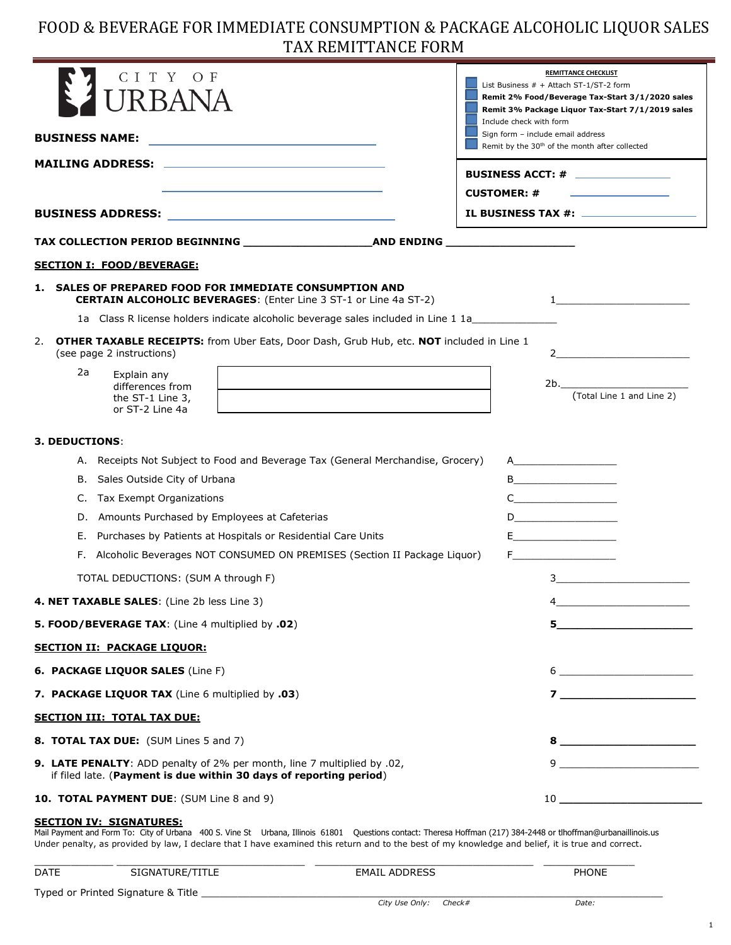# FOOD & BEVERAGE FOR IMMEDIATE CONSUMPTION & PACKAGE ALCOHOLIC LIQUOR SALES TAX REMITTANCE FORM

| CITY<br>O F<br>I IR BANA                                                                                                                                                                                                               | <b>REMITTANCE CHECKLIST</b><br>List Business # + Attach ST-1/ST-2 form<br>Remit 2% Food/Beverage Tax-Start 3/1/2020 sales<br>Remit 3% Package Liquor Tax-Start 7/1/2019 sales<br>Include check with form                                                                                                                                                            |  |
|----------------------------------------------------------------------------------------------------------------------------------------------------------------------------------------------------------------------------------------|---------------------------------------------------------------------------------------------------------------------------------------------------------------------------------------------------------------------------------------------------------------------------------------------------------------------------------------------------------------------|--|
| <b>BUSINESS NAME:</b><br>the control of the control of the control of the control of the control of                                                                                                                                    | Sign form - include email address<br>Remit by the 30 <sup>th</sup> of the month after collected                                                                                                                                                                                                                                                                     |  |
|                                                                                                                                                                                                                                        | BUSINESS ACCT: #<br><b>CUSTOMER: #</b>                                                                                                                                                                                                                                                                                                                              |  |
|                                                                                                                                                                                                                                        |                                                                                                                                                                                                                                                                                                                                                                     |  |
|                                                                                                                                                                                                                                        |                                                                                                                                                                                                                                                                                                                                                                     |  |
| <b>SECTION I: FOOD/BEVERAGE:</b>                                                                                                                                                                                                       |                                                                                                                                                                                                                                                                                                                                                                     |  |
| SALES OF PREPARED FOOD FOR IMMEDIATE CONSUMPTION AND<br>1.<br><b>CERTAIN ALCOHOLIC BEVERAGES:</b> (Enter Line 3 ST-1 or Line 4a ST-2)<br>1a Class R license holders indicate alcoholic beverage sales included in Line 1 1a___________ |                                                                                                                                                                                                                                                                                                                                                                     |  |
| OTHER TAXABLE RECEIPTS: from Uber Eats, Door Dash, Grub Hub, etc. NOT included in Line 1<br>2.<br>(see page 2 instructions)                                                                                                            | $2 \left( \frac{1}{2} \right)$                                                                                                                                                                                                                                                                                                                                      |  |
| 2a<br>Explain any<br>differences from<br>the ST-1 Line 3,<br>or ST-2 Line 4a                                                                                                                                                           | 2b.<br>(Total Line 1 and Line 2)                                                                                                                                                                                                                                                                                                                                    |  |
| <b>3. DEDUCTIONS:</b>                                                                                                                                                                                                                  |                                                                                                                                                                                                                                                                                                                                                                     |  |
| A. Receipts Not Subject to Food and Beverage Tax (General Merchandise, Grocery)                                                                                                                                                        | $\overline{A}$ and $\overline{A}$ and $\overline{A}$ and $\overline{A}$ and $\overline{A}$ and $\overline{A}$ and $\overline{A}$ and $\overline{A}$ and $\overline{A}$ and $\overline{A}$ and $\overline{A}$ and $\overline{A}$ and $\overline{A}$ and $\overline{A}$ and $\overline{A}$ and $\overline{A}$ and $\overline{A}$ and                                  |  |
| B. Sales Outside City of Urbana                                                                                                                                                                                                        | B                                                                                                                                                                                                                                                                                                                                                                   |  |
| Tax Exempt Organizations<br>C.                                                                                                                                                                                                         | $C \qquad \qquad \overline{\qquad \qquad }$                                                                                                                                                                                                                                                                                                                         |  |
| D. Amounts Purchased by Employees at Cafeterias                                                                                                                                                                                        |                                                                                                                                                                                                                                                                                                                                                                     |  |
| Purchases by Patients at Hospitals or Residential Care Units<br>Е.                                                                                                                                                                     | E_______________________                                                                                                                                                                                                                                                                                                                                            |  |
| F. Alcoholic Beverages NOT CONSUMED ON PREMISES (Section II Package Liquor)                                                                                                                                                            | F______________________                                                                                                                                                                                                                                                                                                                                             |  |
| TOTAL DEDUCTIONS: (SUM A through F)                                                                                                                                                                                                    |                                                                                                                                                                                                                                                                                                                                                                     |  |
| 4. NET TAXABLE SALES: (Line 2b less Line 3)                                                                                                                                                                                            | $4_{-}$                                                                                                                                                                                                                                                                                                                                                             |  |
| 5. FOOD/BEVERAGE TAX: (Line 4 multiplied by .02)                                                                                                                                                                                       |                                                                                                                                                                                                                                                                                                                                                                     |  |
| <b>SECTION II: PACKAGE LIQUOR:</b>                                                                                                                                                                                                     |                                                                                                                                                                                                                                                                                                                                                                     |  |
| 6. PACKAGE LIQUOR SALES (Line F)                                                                                                                                                                                                       | $\begin{picture}(20,10) \put(0,0){\vector(1,0){100}} \put(15,0){\vector(1,0){100}} \put(15,0){\vector(1,0){100}} \put(15,0){\vector(1,0){100}} \put(15,0){\vector(1,0){100}} \put(15,0){\vector(1,0){100}} \put(15,0){\vector(1,0){100}} \put(15,0){\vector(1,0){100}} \put(15,0){\vector(1,0){100}} \put(15,0){\vector(1,0){100}} \put(15,0){\vector(1,0){100}} \$ |  |
| 7. PACKAGE LIQUOR TAX (Line 6 multiplied by .03)                                                                                                                                                                                       |                                                                                                                                                                                                                                                                                                                                                                     |  |
| <b>SECTION III: TOTAL TAX DUE:</b>                                                                                                                                                                                                     |                                                                                                                                                                                                                                                                                                                                                                     |  |
| 8. TOTAL TAX DUE: (SUM Lines 5 and 7)                                                                                                                                                                                                  | $8 \begin{tabular}{l} \hline \rule{0.2cm}{0.1cm} \rule{0.2cm}{0.1cm} \rule{0.2cm}{0.1cm} \rule{0.2cm}{0.1cm} \rule{0.2cm}{0.1cm} \rule{0.2cm}{0.1cm} \rule{0.2cm}{0.1cm} \rule{0.2cm}{0.1cm} \rule{0.2cm}{0.1cm} \rule{0.2cm}{0.1cm} \rule{0.2cm}{0.1cm} \rule{0.2cm}{0.1cm} \rule{0.2cm}{0.1cm} \rule{0.2cm}{0.1cm} \rule{0.2cm}{0.1cm} \rule{0.2cm}{0.1cm}$       |  |
| 9. LATE PENALTY: ADD penalty of 2% per month, line 7 multiplied by .02,<br>if filed late. (Payment is due within 30 days of reporting period)                                                                                          | $9 \begin{tabular}{@{}c@{}} \hline \rule{0.2cm}{0.2cm} \rule{0.2cm}{0.2cm} \rule{0.2cm}{0.2cm} \rule{0.2cm}{0.2cm} \rule{0.2cm}{0.2cm} \rule{0.2cm}{0.2cm} \rule{0.2cm}{0.2cm} \rule{0.2cm}{0.2cm} \rule{0.2cm}{0.2cm} \rule{0.2cm}{0.2cm} \rule{0.2cm}{0.2cm} \rule{0.2cm}{0.2cm} \rule{0.2cm}{0.2cm} \rule{0.2cm}{0.2cm} \rule{0.2cm}{0.2cm} \rule{0.2cm}{0$      |  |
| 10. TOTAL PAYMENT DUE: (SUM Line 8 and 9)                                                                                                                                                                                              | $\begin{tabular}{c} 10 & \textbf{---} & \textbf{---} & \textbf{---} & \textbf{---} \\ \end{tabular}$                                                                                                                                                                                                                                                                |  |

#### **SECTION IV: SIGNATURES:**

Mail Payment and Form To: City of Urbana 400 S. Vine St Urbana, Illinois 61801 Questions contact: Theresa Hoffman (217) 384-2448 or tlhoffman@urbanaillinois.us Under penalty, as provided by law, I declare that I have examined this return and to the best of my knowledge and belief, it is true and correct.

| <b>DATE</b> | SIGNATURE/TITLE                    | <b>EMAIL ADDRESS</b>  | <b>PHONE</b> |
|-------------|------------------------------------|-----------------------|--------------|
|             | Typed or Printed Signature & Title |                       |              |
|             |                                    | City Use Only: Check# | Date:        |